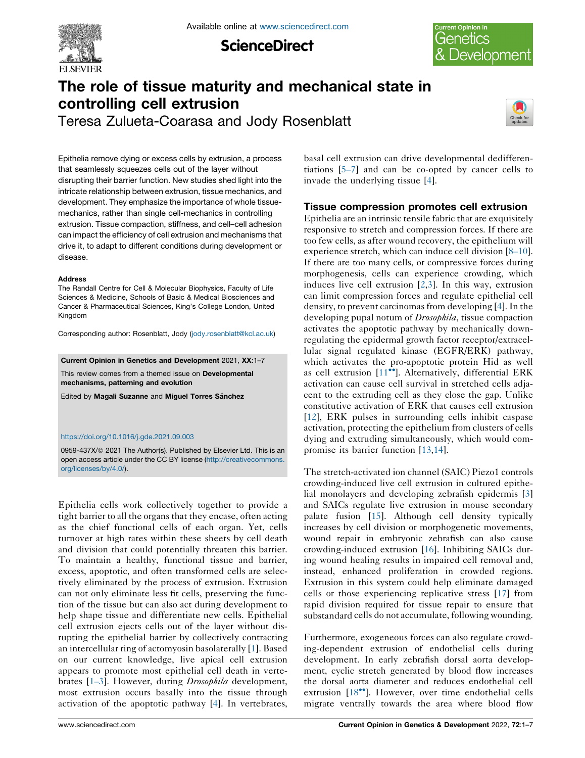

**ScienceDirect** 



# The role of tissue maturity and mechanical state in controlling cell extrusion

Teresa Zulueta-Coarasa and Jody Rosenblatt



Epithelia remove dying or excess cells by extrusion, a process that seamlessly squeezes cells out of the layer without disrupting their barrier function. New studies shed light into the intricate relationship between extrusion, tissue mechanics, and development. They emphasize the importance of whole tissuemechanics, rather than single cell-mechanics in controlling extrusion. Tissue compaction, stiffness, and cell–cell adhesion can impact the efficiency of cell extrusion and mechanisms that drive it, to adapt to different conditions during development or disease.

#### **Address**

The Randall Centre for Cell & Molecular Biophysics, Faculty of Life Sciences & Medicine, Schools of Basic & Medical Biosciences and Cancer & Pharmaceutical Sciences, King's College London, United Kingdom

Corresponding author: Rosenblatt, Jody ([jody.rosenblatt@kcl.ac.uk](mailto:jody.rosenblatt@kcl.ac.uk))

Current Opinion in Genetics and Development 2021, XX:1–7

This review comes from a themed issue on Developmental mechanisms, patterning and evolution

Edited by Magali Suzanne and Miguel Torres Sánchez

#### <https://doi.org/10.1016/j.gde.2021.09.003>

0959-437X/@ 2021 The Author(s). Published by Elsevier Ltd. This is an open access article under the CC BY license [\(http://creativecommons.](http://creativecommons.org/licenses/by/4.0/) [org/licenses/by/4.0/](http://creativecommons.org/licenses/by/4.0/)).

Epithelia cells work collectively together to provide a tight barrier to all the organs that they encase, often acting as the chief functional cells of each organ. Yet, cells turnover at high rates within these sheets by cell death and division that could potentially threaten this barrier. To maintain a healthy, functional tissue and barrier, excess, apoptotic, and often transformed cells are selectively eliminated by the process of extrusion. Extrusion can not only eliminate less fit cells, preserving the function of the tissue but can also act during development to help shape tissue and differentiate new cells. Epithelial cell extrusion ejects cells out of the layer without disrupting the epithelial barrier by collectively contracting an intercellular ring of actomyosin basolaterally [[1\]](#page-4-0). Based on our current knowledge, live apical cell extrusion appears to promote most epithelial cell death in verte-brates [[1–3\]](#page-4-0). However, during *Drosophila* development, most extrusion occurs basally into the tissue through activation of the apoptotic pathway [\[4](#page-4-0)]. In vertebrates, basal cell extrusion can drive developmental dedifferentiations [[5–7\]](#page-4-0) and can be co-opted by cancer cells to invade the underlying tissue [\[4](#page-4-0)].

## Tissue compression promotes cell extrusion

Epithelia are an intrinsic tensile fabric that are exquisitely responsive to stretch and compression forces. If there are too few cells, as after wound recovery, the epithelium will experience stretch, which can induce cell division [[8–10\]](#page-4-0). If there are too many cells, or compressive forces during morphogenesis, cells can experience crowding, which induces live cell extrusion [[2](#page-4-0),[3\]](#page-4-0). In this way, extrusion can limit compression forces and regulate epithelial cell density, to prevent carcinomas from developing [[4\]](#page-4-0). In the developing pupal notum of *Drosophila*, tissue compaction activates the apoptotic pathway by mechanically downregulating the epidermal growth factor receptor/extracellular signal regulated kinase (EGFR/ERK) pathway, which activates the pro-apoptotic protein Hid as well as cell extrusion  $[11^{\bullet\bullet}]$  $[11^{\bullet\bullet}]$  $[11^{\bullet\bullet}]$ . Alternatively, differential ERK activation can cause cell survival in stretched cells adjacent to the extruding cell as they close the gap. Unlike constitutive activation of ERK that causes cell extrusion [[12](#page-5-0)], ERK pulses in surrounding cells inhibit caspase activation, protecting the epithelium from clusters of cells dying and extruding simultaneously, which would compromise its barrier function [[13,14](#page-5-0)].

The stretch-activated ion channel (SAIC) Piezo1 controls crowding-induced live cell extrusion in cultured epithelial monolayers and developing zebrafish epidermis [\[3](#page-4-0)] and SAICs regulate live extrusion in mouse secondary palate fusion [\[15](#page-5-0)]. Although cell density typically increases by cell division or morphogenetic movements, wound repair in embryonic zebrafish can also cause crowding-induced extrusion [\[16](#page-5-0)]. Inhibiting SAICs during wound healing results in impaired cell removal and, instead, enhanced proliferation in crowded regions. Extrusion in this system could help eliminate damaged cells or those experiencing replicative stress [[17\]](#page-5-0) from rapid division required for tissue repair to ensure that substandard cells do not accumulate, following wounding.

Furthermore, exogeneous forces can also regulate crowding-dependent extrusion of endothelial cells during development. In early zebrafish dorsal aorta development, cyclic stretch generated by blood flow increases the dorsal aorta diameter and reduces endothelial cell extrusion  $[18\text{°}$  $[18\text{°}$  $[18\text{°}$ . However, over time endothelial cells migrate ventrally towards the area where blood flow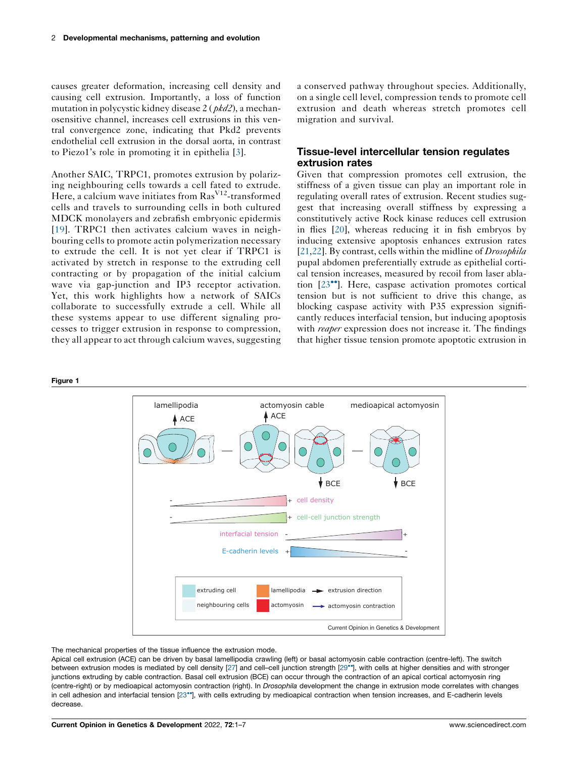<span id="page-1-0"></span>causes greater deformation, increasing cell density and causing cell extrusion. Importantly, a loss of function mutation in polycystic kidney disease 2 ( pkd2), a mechanosensitive channel, increases cell extrusions in this ventral convergence zone, indicating that Pkd2 prevents endothelial cell extrusion in the dorsal aorta, in contrast to Piezo1's role in promoting it in epithelia [[3\]](#page-4-0).

Another SAIC, TRPC1, promotes extrusion by polarizing neighbouring cells towards a cell fated to extrude. Here, a calcium wave initiates from  $\text{Ras}^{\text{V12}}$ -transformed cells and travels to surrounding cells in both cultured MDCK monolayers and zebrafish embryonic epidermis [\[19\]](#page-5-0). TRPC1 then activates calcium waves in neighbouring cells to promote actin polymerization necessary to extrude the cell. It is not yet clear if TRPC1 is activated by stretch in response to the extruding cell contracting or by propagation of the initial calcium wave via gap-junction and IP3 receptor activation. Yet, this work highlights how a network of SAICs collaborate to successfully extrude a cell. While all these systems appear to use different signaling processes to trigger extrusion in response to compression, they all appear to act through calcium waves, suggesting a conserved pathway throughout species. Additionally, on a single cell level, compression tends to promote cell extrusion and death whereas stretch promotes cell migration and survival.

#### Tissue-level intercellular tension regulates extrusion rates

Given that compression promotes cell extrusion, the stiffness of a given tissue can play an important role in regulating overall rates of extrusion. Recent studies suggest that increasing overall stiffness by expressing a constitutively active Rock kinase reduces cell extrusion in flies [[20\]](#page-5-0), whereas reducing it in fish embryos by inducing extensive apoptosis enhances extrusion rates [\[21](#page-5-0),[22\]](#page-5-0). By contrast, cells within the midline of *Drosophila* pupal abdomen preferentially extrude as epithelial cortical tension increases, measured by recoil from laser ablation  $[23^{\bullet\bullet}]$  $[23^{\bullet\bullet}]$ . Here, caspase activation promotes cortical tension but is not sufficient to drive this change, as blocking caspase activity with P35 expression significantly reduces interfacial tension, but inducing apoptosis with *reaper* expression does not increase it. The findings that higher tissue tension promote apoptotic extrusion in

#### Figure 1



#### The mechanical properties of the tissue influence the extrusion mode.

Apical cell extrusion (ACE) can be driven by basal lamellipodia crawling (left) or basal actomyosin cable contraction (centre-left). The switch between extrusion modes is mediated by cell density [[27\]](#page-5-0) and cell-cell junction strength [\[29](#page-5-0)\*], with cells at higher densities and with stronger junctions extruding by cable contraction. Basal cell extrusion (BCE) can occur through the contraction of an apical cortical actomyosin ring (centre-right) or by medioapical actomyosin contraction (right). In Drosophila development the change in extrusion mode correlates with changes in cell adhesion and interfacial tension [[23](#page-5-0)\*], with cells extruding by medioapical contraction when tension increases, and E-cadherin levels decrease.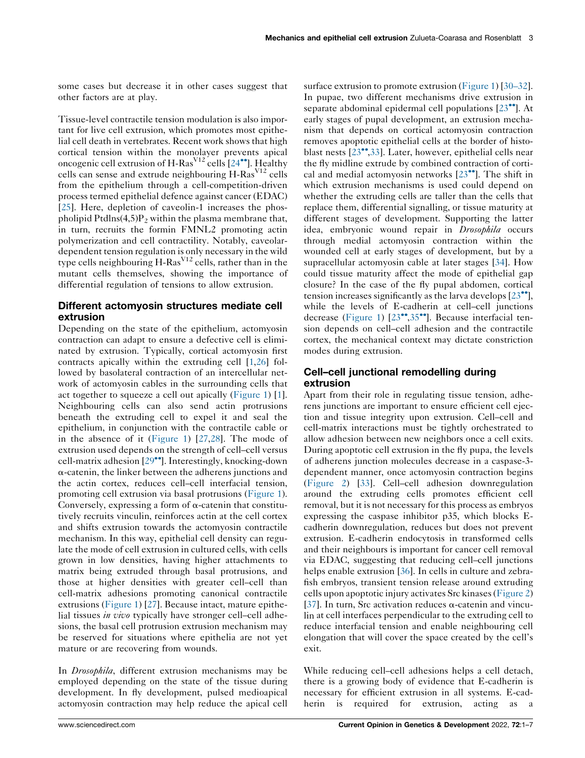some cases but decrease it in other cases suggest that other factors are at play.

Tissue-level contractile tension modulation is also important for live cell extrusion, which promotes most epithelial cell death in vertebrates. Recent work shows that high cortical tension within the monolayer prevents apical oncogenic cell extrusion of H-Ras<sup>V12</sup> cells  $[24\bullet]$  $[24\bullet]$  $[24\bullet]$ . Healthy cells can sense and extrude neighbouring H-Ras<sup>V12</sup> cells from the epithelium through a cell-competition-driven process termed epithelial defence against cancer (EDAC) [\[25](#page-5-0)]. Here, depletion of caveolin-1 increases the phospholipid Ptdlns $(4,5)P_2$  within the plasma membrane that, in turn, recruits the formin FMNL2 promoting actin polymerization and cell contractility. Notably, caveolardependent tension regulation is only necessary in the wild type cells neighbouring  $H-Ras<sup>V12</sup>$  cells, rather than in the mutant cells themselves, showing the importance of differential regulation of tensions to allow extrusion.

## Different actomyosin structures mediate cell extrusion

Depending on the state of the epithelium, actomyosin contraction can adapt to ensure a defective cell is eliminated by extrusion. Typically, cortical actomyosin first contracts apically within the extruding cell [[1](#page-4-0)[,26](#page-5-0)] followed by basolateral contraction of an intercellular network of actomyosin cables in the surrounding cells that act together to squeeze a cell out apically [\(Figure](#page-1-0) 1) [\[1](#page-4-0)]. Neighbouring cells can also send actin protrusions beneath the extruding cell to expel it and seal the epithelium, in conjunction with the contractile cable or in the absence of it ([Figure](#page-1-0) 1) [\[27](#page-5-0),[28\]](#page-5-0). The mode of extrusion used depends on the strength of cell–cell versus cell-matrix adhesion  $[29^{\bullet\bullet}]$  $[29^{\bullet\bullet}]$  $[29^{\bullet\bullet}]$ . Interestingly, knocking-down  $\alpha$ -catenin, the linker between the adherens junctions and the actin cortex, reduces cell–cell interfacial tension, promoting cell extrusion via basal protrusions [\(Figure](#page-1-0) 1). Conversely, expressing a form of  $\alpha$ -catenin that constitutively recruits vinculin, reinforces actin at the cell cortex and shifts extrusion towards the actomyosin contractile mechanism. In this way, epithelial cell density can regulate the mode of cell extrusion in cultured cells, with cells grown in low densities, having higher attachments to matrix being extruded through basal protrusions, and those at higher densities with greater cell–cell than cell-matrix adhesions promoting canonical contractile extrusions ([Figure](#page-1-0) 1) [\[27](#page-5-0)]. Because intact, mature epithelial tissues in vivo typically have stronger cell–cell adhesions, the basal cell protrusion extrusion mechanism may be reserved for situations where epithelia are not yet mature or are recovering from wounds.

In *Drosophila*, different extrusion mechanisms may be employed depending on the state of the tissue during development. In fly development, pulsed medioapical actomyosin contraction may help reduce the apical cell

surface extrusion to promote extrusion ([Figure](#page-1-0) 1) [[30–32\]](#page-5-0). In pupae, two different mechanisms drive extrusion in separate abdominal epidermal cell populations  $[23\bullet]$  $[23\bullet]$  $[23\bullet]$ . At early stages of pupal development, an extrusion mechanism that depends on cortical actomyosin contraction removes apoptotic epithelial cells at the border of histoblast nests  $[23^{\bullet\bullet}, 33]$  $[23^{\bullet\bullet}, 33]$  $[23^{\bullet\bullet}, 33]$ . Later, however, epithelial cells near the fly midline extrude by combined contraction of cortical and medial actomyosin networks  $[23\text{''}']$  $[23\text{''}']$ . The shift in which extrusion mechanisms is used could depend on whether the extruding cells are taller than the cells that replace them, differential signalling, or tissue maturity at different stages of development. Supporting the latter idea, embryonic wound repair in Drosophila occurs through medial actomyosin contraction within the wounded cell at early stages of development, but by a supracellular actomyosin cable at later stages [[34\]](#page-5-0). How could tissue maturity affect the mode of epithelial gap closure? In the case of the fly pupal abdomen, cortical tension increases significantly as the larva develops  $[23\cdot$  $[23\cdot$  $[23\cdot$ <sup>\*</sup>, while the levels of E-cadherin at cell–cell junctions decrease [\(Figure](#page-1-0) 1)  $[23^{\bullet\bullet}, 35^{\bullet\bullet}]$  $[23^{\bullet\bullet}, 35^{\bullet\bullet}]$  $[23^{\bullet\bullet}, 35^{\bullet\bullet}]$ . Because interfacial tension depends on cell–cell adhesion and the contractile cortex, the mechanical context may dictate constriction modes during extrusion.

## Cell–cell junctional remodelling during extrusion

Apart from their role in regulating tissue tension, adherens junctions are important to ensure efficient cell ejection and tissue integrity upon extrusion. Cell–cell and cell-matrix interactions must be tightly orchestrated to allow adhesion between new neighbors once a cell exits. During apoptotic cell extrusion in the fly pupa, the levels of adherens junction molecules decrease in a caspase-3 dependent manner, once actomyosin contraction begins ([Figure](#page-3-0) 2) [\[33](#page-5-0)]. Cell–cell adhesion downregulation around the extruding cells promotes efficient cell removal, but it is not necessary for this process as embryos expressing the caspase inhibitor p35, which blocks Ecadherin downregulation, reduces but does not prevent extrusion. E-cadherin endocytosis in transformed cells and their neighbours is important for cancer cell removal via EDAC, suggesting that reducing cell–cell junctions helps enable extrusion [\[36](#page-5-0)]. In cells in culture and zebrafish embryos, transient tension release around extruding cells upon apoptotic injury activates Src kinases[\(Figure](#page-3-0) 2) [[37](#page-5-0)]. In turn, Src activation reduces  $\alpha$ -catenin and vinculin at cell interfaces perpendicular to the extruding cell to reduce interfacial tension and enable neighbouring cell elongation that will cover the space created by the cell's exit.

While reducing cell–cell adhesions helps a cell detach, there is a growing body of evidence that E-cadherin is necessary for efficient extrusion in all systems. E-cadherin is required for extrusion, acting as a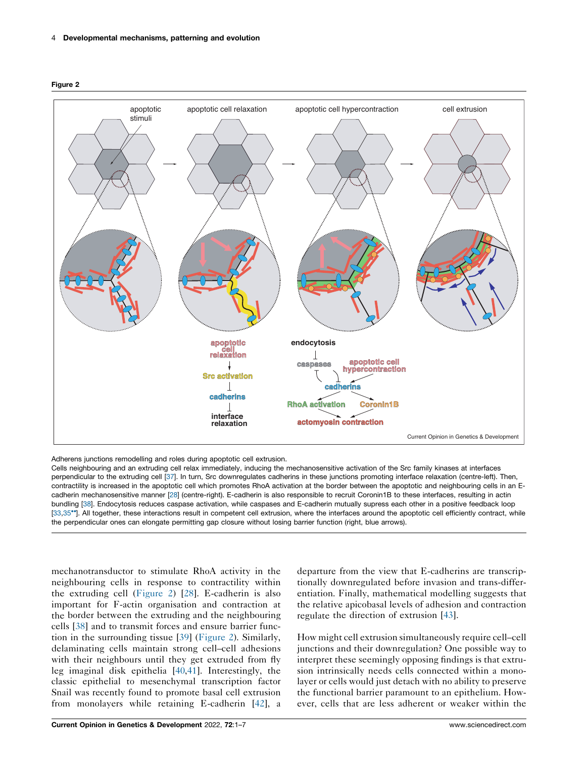

<span id="page-3-0"></span>Figure 2

Adherens junctions remodelling and roles during apoptotic cell extrusion.

Cells neighbouring and an extruding cell relax immediately, inducing the mechanosensitive activation of the Src family kinases at interfaces perpendicular to the extruding cell [\[37](#page-5-0)]. In turn, Src downregulates cadherins in these junctions promoting interface relaxation (centre-left). Then, contractility is increased in the apoptotic cell which promotes RhoA activation at the border between the apoptotic and neighbouring cells in an Ecadherin mechanosensitive manner [[28\]](#page-5-0) (centre-right). E-cadherin is also responsible to recruit Coronin1B to these interfaces, resulting in actin bundling [\[38](#page-5-0)]. Endocytosis reduces caspase activation, while caspases and E-cadherin mutually supress each other in a positive feedback loop [[33,35](#page-5-0)<sup>\*</sup>]. All together, these interactions result in competent cell extrusion, where the interfaces around the apoptotic cell efficiently contract, while the perpendicular ones can elongate permitting gap closure without losing barrier function (right, blue arrows).

mechanotransductor to stimulate RhoA activity in the neighbouring cells in response to contractility within the extruding cell (Figure 2) [[28\]](#page-5-0). E-cadherin is also important for F-actin organisation and contraction at the border between the extruding and the neighbouring cells [\[38](#page-5-0)] and to transmit forces and ensure barrier function in the surrounding tissue [[39\]](#page-5-0) (Figure 2). Similarly, delaminating cells maintain strong cell–cell adhesions with their neighbours until they get extruded from fly leg imaginal disk epithelia [[40,41](#page-6-0)]. Interestingly, the classic epithelial to mesenchymal transcription factor Snail was recently found to promote basal cell extrusion from monolayers while retaining E-cadherin [\[42](#page-6-0)], a

departure from the view that E-cadherins are transcriptionally downregulated before invasion and trans-differentiation. Finally, mathematical modelling suggests that the relative apicobasal levels of adhesion and contraction regulate the direction of extrusion [[43\]](#page-6-0).

How might cell extrusion simultaneously require cell–cell junctions and their downregulation? One possible way to interpret these seemingly opposing findings is that extrusion intrinsically needs cells connected within a monolayer or cells would just detach with no ability to preserve the functional barrier paramount to an epithelium. However, cells that are less adherent or weaker within the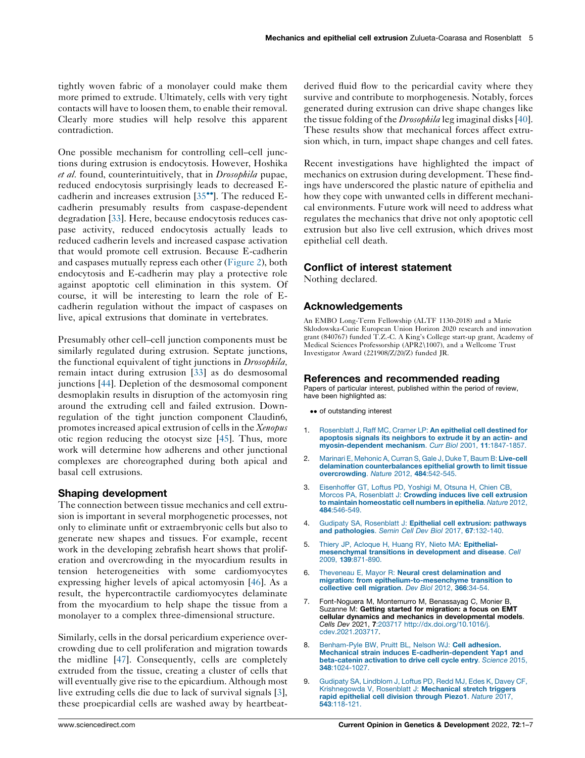<span id="page-4-0"></span>tightly woven fabric of a monolayer could make them more primed to extrude. Ultimately, cells with very tight contacts will have to loosen them, to enable their removal. Clearly more studies will help resolve this apparent contradiction.

One possible mechanism for controlling cell–cell junctions during extrusion is endocytosis. However, Hoshika et al. found, counterintuitively, that in *Drosophila* pupae, reduced endocytosis surprisingly leads to decreased Ecadherin and increases extrusion  $[35\text{''}']$  $[35\text{''}']$ . The reduced Ecadherin presumably results from caspase-dependent degradation [[33\]](#page-5-0). Here, because endocytosis reduces caspase activity, reduced endocytosis actually leads to reduced cadherin levels and increased caspase activation that would promote cell extrusion. Because E-cadherin and caspases mutually repress each other [\(Figure](#page-3-0) 2), both endocytosis and E-cadherin may play a protective role against apoptotic cell elimination in this system. Of course, it will be interesting to learn the role of Ecadherin regulation without the impact of caspases on live, apical extrusions that dominate in vertebrates.

Presumably other cell–cell junction components must be similarly regulated during extrusion. Septate junctions, the functional equivalent of tight junctions in *Drosophila*, remain intact during extrusion [\[33](#page-5-0)] as do desmosomal junctions [[44\]](#page-6-0). Depletion of the desmosomal component desmoplakin results in disruption of the actomyosin ring around the extruding cell and failed extrusion. Downregulation of the tight junction component Claudin6, promotes increased apical extrusion of cells in the Xenopus otic region reducing the otocyst size [[45\]](#page-6-0). Thus, more work will determine how adherens and other junctional complexes are choreographed during both apical and basal cell extrusions.

## Shaping development

The connection between tissue mechanics and cell extrusion is important in several morphogenetic processes, not only to eliminate unfit or extraembryonic cells but also to generate new shapes and tissues. For example, recent work in the developing zebrafish heart shows that proliferation and overcrowding in the myocardium results in tension heterogeneities with some cardiomyocytes expressing higher levels of apical actomyosin [\[46](#page-6-0)]. As a result, the hypercontractile cardiomyocytes delaminate from the myocardium to help shape the tissue from a monolayer to a complex three-dimensional structure.

Similarly, cells in the dorsal pericardium experience overcrowding due to cell proliferation and migration towards the midline [\[47](#page-6-0)]. Consequently, cells are completely extruded from the tissue, creating a cluster of cells that will eventually give rise to the epicardium. Although most live extruding cells die due to lack of survival signals [3], these proepicardial cells are washed away by heartbeat-

derived fluid flow to the pericardial cavity where they survive and contribute to morphogenesis. Notably, forces generated during extrusion can drive shape changes like the tissue folding of the *Drosophila* leg imaginal disks [[40\]](#page-6-0). These results show that mechanical forces affect extrusion which, in turn, impact shape changes and cell fates.

Recent investigations have highlighted the impact of mechanics on extrusion during development. These findings have underscored the plastic nature of epithelia and how they cope with unwanted cells in different mechanical environments. Future work will need to address what regulates the mechanics that drive not only apoptotic cell extrusion but also live cell extrusion, which drives most epithelial cell death.

## Conflict of interest statement

Nothing declared.

## Acknowledgements

An EMBO Long-Term Fellowship (ALTF 1130-2018) and a Marie Sklodowska-Curie European Union Horizon 2020 research and innovation grant (840767) funded T.Z.-C. A King's College start-up grant, Academy of Medical Sciences Professorship (APR2\1007), and a Wellcome Trust Investigator Award (221908/Z/20/Z) funded JR.

#### References and recommended reading

Papers of particular interest, published within the period of review, have been highlighted as:

- •• of outstanding interest
- 1. [Rosenblatt](http://refhub.elsevier.com/S0959-437X(21)00109-X/sbref0005) J, Raff MC, Cramer LP: An epithelial cell destined for apoptosis signals its [neighbors](http://refhub.elsevier.com/S0959-437X(21)00109-X/sbref0005) to extrude it by an actin- and [myosin-dependent](http://refhub.elsevier.com/S0959-437X(21)00109-X/sbref0005) mechanism. Curr Biol 2001, 11:1847-1857.
- 2. Marinari E, Mehonic A, Curran S, Gale J, Duke T, Baum B: [Live-cell](http://refhub.elsevier.com/S0959-437X(21)00109-X/sbref0010) delamination [counterbalances](http://refhub.elsevier.com/S0959-437X(21)00109-X/sbref0010) epithelial growth to limit tissue [overcrowding](http://refhub.elsevier.com/S0959-437X(21)00109-X/sbref0010). Nature 2012, 484:542-545.
- 3. [Eisenhoffer](http://refhub.elsevier.com/S0959-437X(21)00109-X/sbref0015) GT, Loftus PD, Yoshigi M, Otsuna H, Chien CB, Morcos PA, [Rosenblatt](http://refhub.elsevier.com/S0959-437X(21)00109-X/sbref0015) J: Crowding induces live cell extrusion to maintain [homeostatic](http://refhub.elsevier.com/S0959-437X(21)00109-X/sbref0015) cell numbers in epithelia. Nature 2012, 484[:546-549.](http://refhub.elsevier.com/S0959-437X(21)00109-X/sbref0015)
- 4. Gudipaty SA, [Rosenblatt](http://refhub.elsevier.com/S0959-437X(21)00109-X/sbref0020) J: Epithelial cell extrusion: pathways and [pathologies](http://refhub.elsevier.com/S0959-437X(21)00109-X/sbref0020). Semin Cell Dev Biol 2017, 67:132-140.
- 5. Thiery JP, Acloque H, Huang RY, Nieto MA: [Epithelial](http://refhub.elsevier.com/S0959-437X(21)00109-X/sbref0025)[mesenchymal](http://refhub.elsevier.com/S0959-437X(21)00109-X/sbref0025) transitions in development and disease. Cell 2009, 139[:871-890.](http://refhub.elsevier.com/S0959-437X(21)00109-X/sbref0025)
- 6. Theveneau E, Mayor R: Neural crest [delamination](http://refhub.elsevier.com/S0959-437X(21)00109-X/sbref0030) and migration: from [epithelium-to-mesenchyme](http://refhub.elsevier.com/S0959-437X(21)00109-X/sbref0030) transition to collective cell [migration](http://refhub.elsevier.com/S0959-437X(21)00109-X/sbref0030). Dev Biol 2012, 366:34-54.
- 7. Font-Noguera M, Montemurro M, Benassayag C, Monier B, Suzanne M: Getting started for migration: a focus on EMT cellular dynamics and mechanics in developmental models. Cells Dev 2021, 7:203717 [http://dx.doi.org/10.1016/j.](http://dx.doi.org/10.1016/j.cdev.2021.203717) [cdev.2021.203717](http://dx.doi.org/10.1016/j.cdev.2021.203717).
- 8. [Benham-Pyle](http://refhub.elsevier.com/S0959-437X(21)00109-X/sbref0040) BW, Pruitt BL, Nelson WJ: Cell adhesion. Mechanical strain induces [E-cadherin-dependent](http://refhub.elsevier.com/S0959-437X(21)00109-X/sbref0040) Yap1 and [beta-catenin](http://refhub.elsevier.com/S0959-437X(21)00109-X/sbref0040) activation to drive cell cycle entry. Science 2015, 348[:1024-1027.](http://refhub.elsevier.com/S0959-437X(21)00109-X/sbref0040)
- 9. Gudipaty SA, [Lindblom](http://refhub.elsevier.com/S0959-437X(21)00109-X/sbref0045) J, Loftus PD, Redd MJ, Edes K, Davey CF, [Krishnegowda](http://refhub.elsevier.com/S0959-437X(21)00109-X/sbref0045) V, Rosenblatt J: Mechanical stretch triggers rapid [epithelial](http://refhub.elsevier.com/S0959-437X(21)00109-X/sbref0045) cell division through Piezo1. Nature 2017, 543[:118-121.](http://refhub.elsevier.com/S0959-437X(21)00109-X/sbref0045)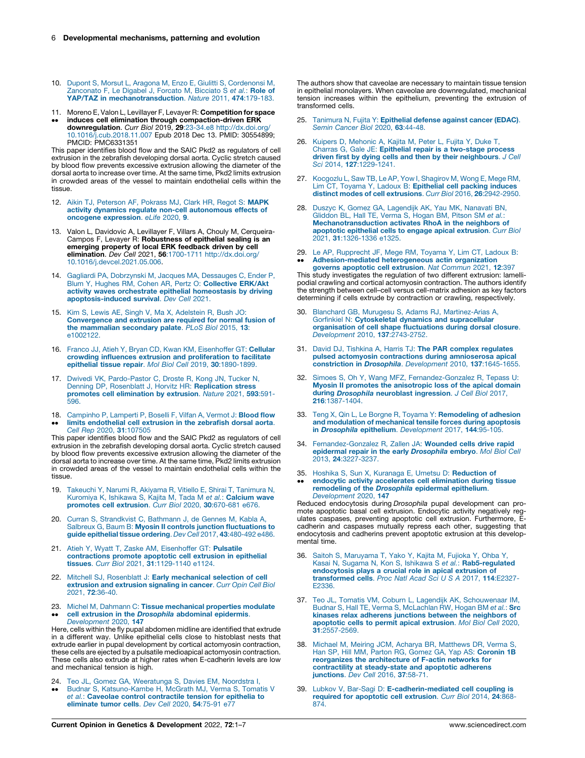- <span id="page-5-0"></span>10. Dupont S, Morsut L, Aragona M, Enzo E, Giulitti S, [Cordenonsi](http://refhub.elsevier.com/S0959-437X(21)00109-X/sbref0050) M, [Zanconato](http://refhub.elsevier.com/S0959-437X(21)00109-X/sbref0050) F, Le Digabel J, Forcato M, Bicciato S et al.: Role of YAP/TAZ in [mechanotransduction](http://refhub.elsevier.com/S0959-437X(21)00109-X/sbref0050). Nature 2011, 474:179-183.
- 11. Moreno E, Valon L, Levillayer F, Levayer R: Competition for space induces cell elimination through compaction-driven ERK
- $\ddot{\phantom{0}}$ downregulation. Curr Biol 2019, 29:23-34.e8 [http://dx.doi.org/](http://dx.doi.org/10.1016/j.cub.2018.11.007) [10.1016/j.cub.2018.11.007](http://dx.doi.org/10.1016/j.cub.2018.11.007) Epub 2018 Dec 13. PMID: 30554899; PMCID: PMC6331351

This paper identifies blood flow and the SAIC Pkd2 as regulators of cell extrusion in the zebrafish developing dorsal aorta. Cyclic stretch caused by blood flow prevents excessive extrusion allowing the diameter of the dorsal aorta to increase over time. At the same time, Pkd2 limits extrusion in crowded areas of the vessel to maintain endothelial cells within the tissue.

- 12. Aikin TJ, [Peterson](http://refhub.elsevier.com/S0959-437X(21)00109-X/sbref0060) AF, Pokrass MJ, Clark HR, Regot S: MAPK activity dynamics regulate non-cell [autonomous](http://refhub.elsevier.com/S0959-437X(21)00109-X/sbref0060) effects of oncogene [expression](http://refhub.elsevier.com/S0959-437X(21)00109-X/sbref0060). eLife 2020, 9.
- 13. Valon L, Davidovic A, Levillayer F, Villars A, Chouly M, Cerqueira-Campos F, Levayer R: Robustness of epithelial sealing is an emerging property of local ERK feedback driven by cell elimination. Dev Cell 2021, 56:1700-1711 [http://dx.doi.org/](http://dx.doi.org/10.1016/j.devcel.2021.05.006) [10.1016/j.devcel.2021.05.006.](http://dx.doi.org/10.1016/j.devcel.2021.05.006)
- 14. Gagliardi PA, [Dobrzynski](http://refhub.elsevier.com/S0959-437X(21)00109-X/sbref0070) M, Jacques MA, Dessauges C, Ender P,<br>Blum Y, Hughes RM, Cohen AR, Pertz O: [Collective](http://refhub.elsevier.com/S0959-437X(21)00109-X/sbref0070) ERK/Akt<br>activity waves orchestrate epithelial [homeostasis](http://refhub.elsevier.com/S0959-437X(21)00109-X/sbref0070) by driving [apoptosis-induced](http://refhub.elsevier.com/S0959-437X(21)00109-X/sbref0070) survival. Dev Cell 2021.
- 15. Kim S, Lewis AE, Singh V, Ma X, [Adelstein](http://refhub.elsevier.com/S0959-437X(21)00109-X/sbref0075) R, Bush JO: [Convergence](http://refhub.elsevier.com/S0959-437X(21)00109-X/sbref0075) and extrusion are required for normal fusion of the [mammalian](http://refhub.elsevier.com/S0959-437X(21)00109-X/sbref0075) secondary palate. PLoS Biol 2015, 13: [e1002122.](http://refhub.elsevier.com/S0959-437X(21)00109-X/sbref0075)
- 16. Franco JJ, Atieh Y, Bryan CD, Kwan KM, [Eisenhoffer](http://refhub.elsevier.com/S0959-437X(21)00109-X/sbref0080) GT: Cellular<br>crowding influences extrusion and [proliferation](http://refhub.elsevier.com/S0959-437X(21)00109-X/sbref0080) to facilitate epithelial tissue repair. Mol Biol Cell 2019, 30[:1890-1899.](http://refhub.elsevier.com/S0959-437X(21)00109-X/sbref0080)
- 17. Dwivedi VK, [Pardo-Pastor](http://refhub.elsevier.com/S0959-437X(21)00109-X/sbref0085) C, Droste R, Kong JN, Tucker N, Denning DP, Rosenblatt J, Horvitz HR: [Replication](http://refhub.elsevier.com/S0959-437X(21)00109-X/sbref0085) stress promotes cell [elimination](http://refhub.elsevier.com/S0959-437X(21)00109-X/sbref0085) by extrusion. Nature 2021, 593:591- [596.](http://refhub.elsevier.com/S0959-437X(21)00109-X/sbref0085)
- 18.  $\ddot{\phantom{0}}$ [Campinho](http://refhub.elsevier.com/S0959-437X(21)00109-X/sbref0090) P, Lamperti P, Boselli F, Vilfan A, Vermot J: Blood flow limits [endothelial](http://refhub.elsevier.com/S0959-437X(21)00109-X/sbref0090) cell extrusion in the zebrafish dorsal aorta. Cell Rep 2020, 31[:107505](http://refhub.elsevier.com/S0959-437X(21)00109-X/sbref0090)

This paper identifies blood flow and the SAIC Pkd2 as regulators of cell extrusion in the zebrafish developing dorsal aorta. Cyclic stretch caused by blood flow prevents excessive extrusion allowing the diameter of the dorsal aorta to increase over time. At the same time, Pkd2 limits extrusion in crowded areas of the vessel to maintain endothelial cells within the tissue.

- 19. Takeuchi Y, Narumi R, Akiyama R, Vitiello E, Shirai T, [Tanimura](http://refhub.elsevier.com/S0959-437X(21)00109-X/sbref0095) N,<br>[Kuromiya](http://refhub.elsevier.com/S0959-437X(21)00109-X/sbref0095) K, Ishikawa S, Kajita M, Tada M et al.: **Calcium wave** [promotes](http://refhub.elsevier.com/S0959-437X(21)00109-X/sbref0095) cell extrusion. Curr Biol 2020, 30:670-681 e676.
- 20. Curran S, [Strandkvist](http://refhub.elsevier.com/S0959-437X(21)00109-X/sbref0100) C, Bathmann J, de Gennes M, Kabla A, Salbreux G, Baum B: Myosin II controls junction [fluctuations](http://refhub.elsevier.com/S0959-437X(21)00109-X/sbref0100) to guide [epithelial](http://refhub.elsevier.com/S0959-437X(21)00109-X/sbref0100) tissue ordering. Dev Cell 2017, 43:480-492 e486.
- 21. Atieh Y, Wyatt T, Zaske AM, [Eisenhoffer](http://refhub.elsevier.com/S0959-437X(21)00109-X/sbref0105) GT: Pulsatile [contractions](http://refhub.elsevier.com/S0959-437X(21)00109-X/sbref0105) promote apoptotic cell extrusion in epithelial tissues. Curr Biol 2021, 31[:1129-1140](http://refhub.elsevier.com/S0959-437X(21)00109-X/sbref0105) e1124.
- 22. Mitchell SJ, Rosenblatt J: Early [mechanical](http://refhub.elsevier.com/S0959-437X(21)00109-X/sbref0110) selection of cell [extrusion](http://refhub.elsevier.com/S0959-437X(21)00109-X/sbref0110) and extrusion signaling in cancer. Curr Opin Cell Biol 2021, 72[:36-40.](http://refhub.elsevier.com/S0959-437X(21)00109-X/sbref0110)
- 23. Michel M, Dahmann C: Tissue [mechanical](http://refhub.elsevier.com/S0959-437X(21)00109-X/sbref0115) properties modulate
- $\ddot{\phantom{0}}$ cell extrusion in the [Drosophila](http://refhub.elsevier.com/S0959-437X(21)00109-X/sbref0115) abdominal epidermis. [Development](http://refhub.elsevier.com/S0959-437X(21)00109-X/sbref0115) 2020, 147

Here, cells within the fly pupal abdomen midline are identified that extrude in a different way. Unlike epithelial cells close to histoblast nests that extrude earlier in pupal development by cortical actomyosin contraction, these cells are ejected by a pulsatile medioapical actomyosin contraction. These cells also extrude at higher rates when E-cadherin levels are low and mechanical tension is high.

- 24. Teo JL, Gomez GA, [Weeratunga](http://refhub.elsevier.com/S0959-437X(21)00109-X/sbref0120) S, Davies EM, Noordstra I,
- $\ddot{\phantom{0}}$ Budnar S, [Katsuno-Kambe](http://refhub.elsevier.com/S0959-437X(21)00109-X/sbref0120) H, McGrath MJ, Verma S, Tomatis V et al.: Caveolae control [contractile](http://refhub.elsevier.com/S0959-437X(21)00109-X/sbref0120) tension for epithelia to [eliminate](http://refhub.elsevier.com/S0959-437X(21)00109-X/sbref0120) tumor cells. Dev Cell 2020, 54:75-91 e77

The authors show that caveolae are necessary to maintain tissue tension in epithelial monolayers. When caveolae are downregulated, mechanical tension increases within the epithelium, preventing the extrusion of transformed cells.

- 25. Tanimura N, Fujita Y: [Epithelial](http://refhub.elsevier.com/S0959-437X(21)00109-X/sbref0125) defense against cancer (EDAC). Semin Cancer Biol 2020, 63[:44-48.](http://refhub.elsevier.com/S0959-437X(21)00109-X/sbref0125)
- 26. Kuipers D, [Mehonic](http://refhub.elsevier.com/S0959-437X(21)00109-X/sbref0130) A, Kajita M, Peter L, Fujita Y, Duke T, Charras G, Gale JE: Epithelial repair is a [two-stage](http://refhub.elsevier.com/S0959-437X(21)00109-X/sbref0130) process driven first by dying cells and then by their [neighbours](http://refhub.elsevier.com/S0959-437X(21)00109-X/sbref0130). J Cell Sci 2014, 127[:1229-1241.](http://refhub.elsevier.com/S0959-437X(21)00109-X/sbref0130)
- 27. [Kocgozlu](http://refhub.elsevier.com/S0959-437X(21)00109-X/sbref0135) L, Saw TB, Le AP, Yow I, Shagirov M, Wong E, Mege RM, Lim CT, Toyama Y, Ladoux B: [Epithelial](http://refhub.elsevier.com/S0959-437X(21)00109-X/sbref0135) cell packing induces distinct modes of cell extrusions. Curr Biol 2016, 26[:2942-2950.](http://refhub.elsevier.com/S0959-437X(21)00109-X/sbref0135)
- 28. Duszyc K, Gomez GA, [Lagendijk](http://refhub.elsevier.com/S0959-437X(21)00109-X/sbref0140) AK, Yau MK, Nanavati BN, [Gliddon](http://refhub.elsevier.com/S0959-437X(21)00109-X/sbref0140) BL, Hall TE, Verma S, Hogan BM, Pitson SM et al.: [Mechanotransduction](http://refhub.elsevier.com/S0959-437X(21)00109-X/sbref0140) activates RhoA in the neighbors of [apoptotic](http://refhub.elsevier.com/S0959-437X(21)00109-X/sbref0140) epithelial cells to engage apical extrusion. Curr Biol 2021, 31[:1326-1336](http://refhub.elsevier.com/S0959-437X(21)00109-X/sbref0140) e1325.
- 29. Le AP, [Rupprecht](http://refhub.elsevier.com/S0959-437X(21)00109-X/sbref0145) JF, Mege RM, Toyama Y, Lim CT, Ladoux B:  $\ddot{\phantom{0}}$ [Adhesion-mediated](http://refhub.elsevier.com/S0959-437X(21)00109-X/sbref0145) heterogeneous actin organization governs [apoptotic](http://refhub.elsevier.com/S0959-437X(21)00109-X/sbref0145) cell extrusion. Nat Commun 2021, 12:397

This study investigates the regulation of two different extrusion: lamellipodial crawling and cortical actomyosin contraction. The authors identify the strength between cell–cell versus cell-matrix adhesion as key factors determining if cells extrude by contraction or crawling, respectively.

- 30. Blanchard GB, Murugesu S, Adams RJ, [Martinez-Arias](http://refhub.elsevier.com/S0959-437X(21)00109-X/sbref0150) A, Gorfinkiel N: Cytoskeletal dynamics and [supracellular](http://refhub.elsevier.com/S0959-437X(21)00109-X/sbref0150) [organisation](http://refhub.elsevier.com/S0959-437X(21)00109-X/sbref0150) of cell shape fluctuations during dorsal closure. Development 2010, 137[:2743-2752.](http://refhub.elsevier.com/S0959-437X(21)00109-X/sbref0150)
- 31. David DJ, Tishkina A, Harris TJ: The PAR complex [regulates](http://refhub.elsevier.com/S0959-437X(21)00109-X/sbref0155) pulsed actomyosin contractions during [amnioserosa](http://refhub.elsevier.com/S0959-437X(21)00109-X/sbref0155) apical [constriction](http://refhub.elsevier.com/S0959-437X(21)00109-X/sbref0155) in Drosophila. Development 2010, 137:1645-1655.
- 32. Simoes S, Oh Y, Wang MFZ, [Fernandez-Gonzalez](http://refhub.elsevier.com/S0959-437X(21)00109-X/sbref0160) R, Tepass U: Myosin II promotes the [anisotropic](http://refhub.elsevier.com/S0959-437X(21)00109-X/sbref0160) loss of the apical domain during [Drosophila](http://refhub.elsevier.com/S0959-437X(21)00109-X/sbref0160) neuroblast ingression. J Cell Biol 2017, 216[:1387-1404.](http://refhub.elsevier.com/S0959-437X(21)00109-X/sbref0160)
- 33. Teng X, Qin L, Le Borgne R, Toyama Y: [Remodeling](http://refhub.elsevier.com/S0959-437X(21)00109-X/sbref0165) of adhesion and modulation of [mechanical](http://refhub.elsevier.com/S0959-437X(21)00109-X/sbref0165) tensile forces during apoptosis<br>in [Drosophila](http://refhub.elsevier.com/S0959-437X(21)00109-X/sbref0165) epithelium. Development 2017, 144:95-105.
- 34. [Fernandez-Gonzalez](http://refhub.elsevier.com/S0959-437X(21)00109-X/sbref0170) R, Zallen JA: Wounded cells drive rapid epidermal repair in the early [Drosophila](http://refhub.elsevier.com/S0959-437X(21)00109-X/sbref0170) embryo. Mol Biol Cell 2013, 24[:3227-3237.](http://refhub.elsevier.com/S0959-437X(21)00109-X/sbref0170)
- 35.
- $\ddot{\phantom{0}}$ Hoshika S, Sun X, Kuranaga E, Umetsu D: **[Reduction](http://refhub.elsevier.com/S0959-437X(21)00109-X/sbref0175) of**<br>endocytic activity [accelerates](http://refhub.elsevier.com/S0959-437X(21)00109-X/sbref0175) cell elimination during tissue [remodeling](http://refhub.elsevier.com/S0959-437X(21)00109-X/sbref0175) of the Drosophila epidermal epithelium.

[Development](http://refhub.elsevier.com/S0959-437X(21)00109-X/sbref0175) 2020, 147 Reduced endocytosis during Drosophila pupal development can promote apoptotic basal cell extrusion. Endocytic activity negatively reg-ulates caspases, preventing apoptotic cell extrusion. Furthermore, Ecadherin and caspases mutually repress each other, suggesting that endocytosis and cadherins prevent apoptotic extrusion at this developmental time.

- 36. Saitoh S, [Maruyama](http://refhub.elsevier.com/S0959-437X(21)00109-X/sbref0180) T, Yako Y, Kajita M, Fujioka Y, Ohba Y, Kasai N, Sugama N, Kon S, Ishikawa S et al.: [Rab5-regulated](http://refhub.elsevier.com/S0959-437X(21)00109-X/sbref0180) [endocytosis](http://refhub.elsevier.com/S0959-437X(21)00109-X/sbref0180) plays a crucial role in apical extrusion of [transformed](http://refhub.elsevier.com/S0959-437X(21)00109-X/sbref0180) cells. Proc Natl Acad Sci U S A 2017, 114:E2327- [E2336.](http://refhub.elsevier.com/S0959-437X(21)00109-X/sbref0180)
- 37. Teo JL, Tomatis VM, Coburn L, Lagendijk AK, [Schouwenaar](http://refhub.elsevier.com/S0959-437X(21)00109-X/sbref0185) IM, Budnar S, Hall TE, Verma S, [McLachlan](http://refhub.elsevier.com/S0959-437X(21)00109-X/sbref0185) RW, Hogan BM et al.: Src kinases relax adherens junctions between the [neighbors](http://refhub.elsevier.com/S0959-437X(21)00109-X/sbref0185) of [apoptotic](http://refhub.elsevier.com/S0959-437X(21)00109-X/sbref0185) cells to permit apical extrusion. Mol Biol Cell 2020, 31[:2557-2569.](http://refhub.elsevier.com/S0959-437X(21)00109-X/sbref0185)
- 38. Michael M, Meiring JCM, Acharya BR, [Matthews](http://refhub.elsevier.com/S0959-437X(21)00109-X/sbref0190) DR, Verma S, Han SP, Hill MM, Parton RG, Gomez GA, Yap AS: [Coronin](http://refhub.elsevier.com/S0959-437X(21)00109-X/sbref0190) 1B reorganizes the [architecture](http://refhub.elsevier.com/S0959-437X(21)00109-X/sbref0190) of F-actin networks for contractility at [steady-state](http://refhub.elsevier.com/S0959-437X(21)00109-X/sbref0190) and apoptotic adherens [junctions](http://refhub.elsevier.com/S0959-437X(21)00109-X/sbref0190). Dev Cell 2016, 37:58-71.
- 39. Lubkov V, Bar-Sagi D: [E-cadherin-mediated](http://refhub.elsevier.com/S0959-437X(21)00109-X/sbref0195) cell coupling is required for [apoptotic](http://refhub.elsevier.com/S0959-437X(21)00109-X/sbref0195) cell extrusion. Curr Biol 2014, 24:868- [874.](http://refhub.elsevier.com/S0959-437X(21)00109-X/sbref0195)